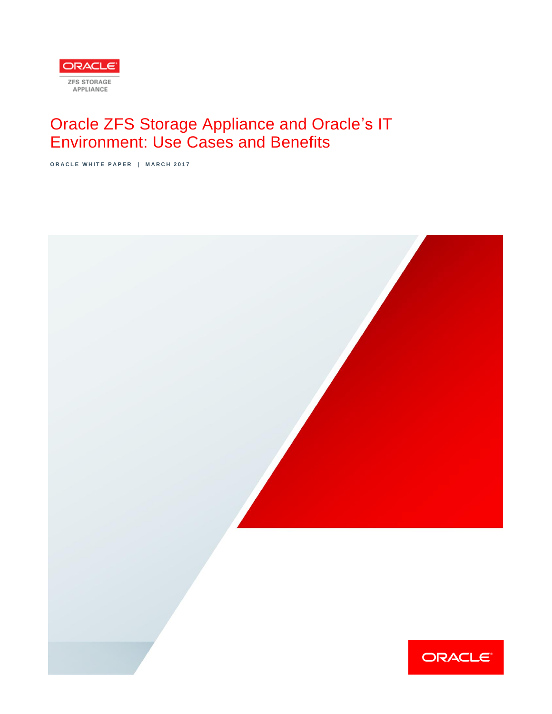

# Oracle ZFS Storage Appliance and Oracle's IT Environment: Use Cases and Benefits

**O R A C L E W H I T E P A P E R | M A R C H 2 0 1 7**

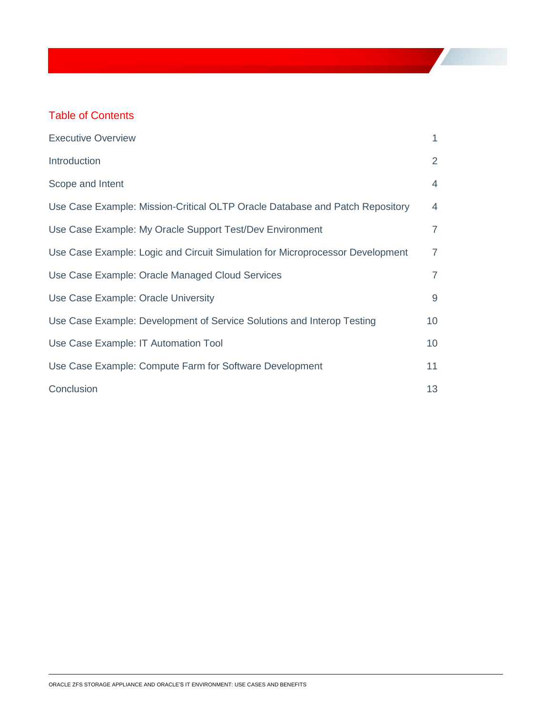# Table of Contents

| <b>Executive Overview</b>                                                     | $\mathbf{1}$   |
|-------------------------------------------------------------------------------|----------------|
| Introduction                                                                  | $\overline{2}$ |
| Scope and Intent                                                              | $\overline{4}$ |
| Use Case Example: Mission-Critical OLTP Oracle Database and Patch Repository  | $\overline{4}$ |
| Use Case Example: My Oracle Support Test/Dev Environment                      | $\overline{7}$ |
| Use Case Example: Logic and Circuit Simulation for Microprocessor Development | $\overline{7}$ |
| Use Case Example: Oracle Managed Cloud Services                               | $\overline{7}$ |
| Use Case Example: Oracle University                                           | 9              |
| Use Case Example: Development of Service Solutions and Interop Testing        | 10             |
| Use Case Example: IT Automation Tool                                          | 10             |
| Use Case Example: Compute Farm for Software Development                       | 11             |
| Conclusion                                                                    | 13             |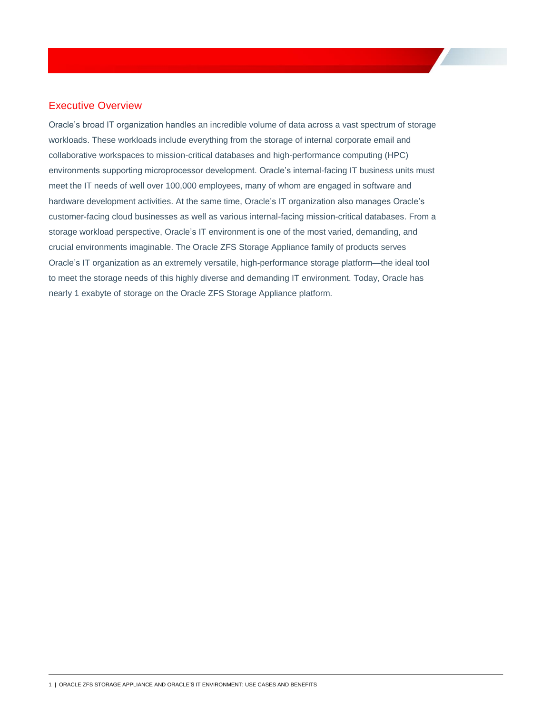#### <span id="page-2-0"></span>Executive Overview

Oracle's broad IT organization handles an incredible volume of data across a vast spectrum of storage workloads. These workloads include everything from the storage of internal corporate email and collaborative workspaces to mission-critical databases and high-performance computing (HPC) environments supporting microprocessor development. Oracle's internal-facing IT business units must meet the IT needs of well over 100,000 employees, many of whom are engaged in software and hardware development activities. At the same time, Oracle's IT organization also manages Oracle's customer-facing cloud businesses as well as various internal-facing mission-critical databases. From a storage workload perspective, Oracle's IT environment is one of the most varied, demanding, and crucial environments imaginable. The Oracle ZFS Storage Appliance family of products serves Oracle's IT organization as an extremely versatile, high-performance storage platform—the ideal tool to meet the storage needs of this highly diverse and demanding IT environment. Today, Oracle has nearly 1 exabyte of storage on the Oracle ZFS Storage Appliance platform.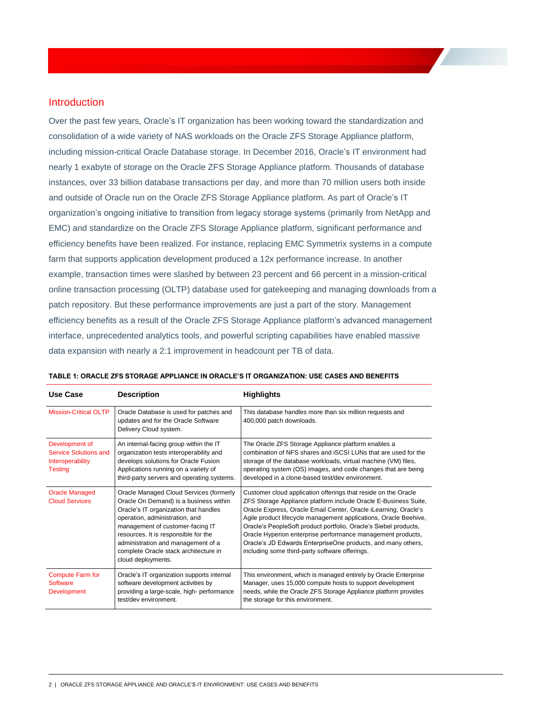#### <span id="page-3-0"></span>Introduction

Over the past few years, Oracle's IT organization has been working toward the standardization and consolidation of a wide variety of NAS workloads on the Oracle ZFS Storage Appliance platform, including mission-critical Oracle Database storage. In December 2016, Oracle's IT environment had nearly 1 exabyte of storage on the Oracle ZFS Storage Appliance platform. Thousands of database instances, over 33 billion database transactions per day, and more than 70 million users both inside and outside of Oracle run on the Oracle ZFS Storage Appliance platform. As part of Oracle's IT organization's ongoing initiative to transition from legacy storage systems (primarily from NetApp and EMC) and standardize on the Oracle ZFS Storage Appliance platform, significant performance and efficiency benefits have been realized. For instance, replacing EMC Symmetrix systems in a compute farm that supports application development produced a 12x performance increase. In another example, transaction times were slashed by between 23 percent and 66 percent in a mission-critical online transaction processing (OLTP) database used for gatekeeping and managing downloads from a patch repository. But these performance improvements are just a part of the story. Management efficiency benefits as a result of the Oracle ZFS Storage Appliance platform's advanced management interface, unprecedented analytics tools, and powerful scripting capabilities have enabled massive data expansion with nearly a 2:1 improvement in headcount per TB of data.

| <b>Use Case</b>                                                               | <b>Description</b>                                                                                                                                                                                                                                                                                                                            | <b>Highlights</b>                                                                                                                                                                                                                                                                                                                                                                                                                                                                                                             |
|-------------------------------------------------------------------------------|-----------------------------------------------------------------------------------------------------------------------------------------------------------------------------------------------------------------------------------------------------------------------------------------------------------------------------------------------|-------------------------------------------------------------------------------------------------------------------------------------------------------------------------------------------------------------------------------------------------------------------------------------------------------------------------------------------------------------------------------------------------------------------------------------------------------------------------------------------------------------------------------|
| <b>Mission-Critical OLTP</b>                                                  | Oracle Database is used for patches and<br>updates and for the Oracle Software<br>Delivery Cloud system.                                                                                                                                                                                                                                      | This database handles more than six million requests and<br>400,000 patch downloads.                                                                                                                                                                                                                                                                                                                                                                                                                                          |
| Development of<br>Service Solutions and<br>Interoperability<br><b>Testing</b> | An internal-facing group within the IT<br>organization tests interoperability and<br>develops solutions for Oracle Fusion<br>Applications running on a variety of<br>third-party servers and operating systems.                                                                                                                               | The Oracle ZFS Storage Appliance platform enables a<br>combination of NFS shares and iSCSI LUNs that are used for the<br>storage of the database workloads, virtual machine (VM) files,<br>operating system (OS) images, and code changes that are being<br>developed in a clone-based test/dev environment.                                                                                                                                                                                                                  |
| <b>Oracle Managed</b><br><b>Cloud Services</b>                                | Oracle Managed Cloud Services (formerly<br>Oracle On Demand) is a business within<br>Oracle's IT organization that handles<br>operation, administration, and<br>management of customer-facing IT<br>resources. It is responsible for the<br>administration and management of a<br>complete Oracle stack architecture in<br>cloud deployments. | Customer cloud application offerings that reside on the Oracle<br>ZFS Storage Appliance platform include Oracle E-Business Suite,<br>Oracle Express, Oracle Email Center, Oracle iLearning, Oracle's<br>Agile product lifecycle management applications, Oracle Beehive,<br>Oracle's PeopleSoft product portfolio, Oracle's Siebel products,<br>Oracle Hyperion enterprise performance management products,<br>Oracle's JD Edwards EnterpriseOne products, and many others,<br>including some third-party software offerings. |
| <b>Compute Farm for</b><br><b>Software</b><br><b>Development</b>              | Oracle's IT organization supports internal<br>software development activities by<br>providing a large-scale, high- performance<br>test/dev environment.                                                                                                                                                                                       | This environment, which is managed entirely by Oracle Enterprise<br>Manager, uses 15,000 compute hosts to support development<br>needs, while the Oracle ZFS Storage Appliance platform provides<br>the storage for this environment.                                                                                                                                                                                                                                                                                         |

#### **TABLE 1: ORACLE ZFS STORAGE APPLIANCE IN ORACLE'S IT ORGANIZATION: USE CASES AND BENEFITS**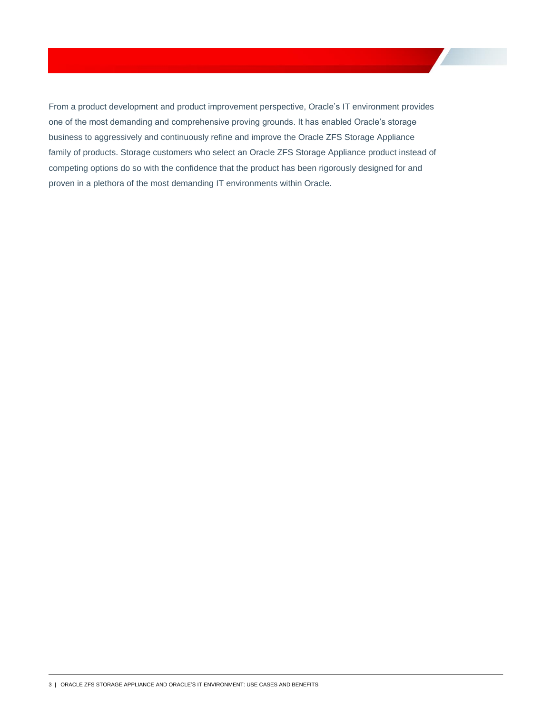<span id="page-4-0"></span>From a product development and product improvement perspective, Oracle's IT environment provides one of the most demanding and comprehensive proving grounds. It has enabled Oracle's storage business to aggressively and continuously refine and improve the Oracle ZFS Storage Appliance family of products. Storage customers who select an Oracle ZFS Storage Appliance product instead of competing options do so with the confidence that the product has been rigorously designed for and proven in a plethora of the most demanding IT environments within Oracle.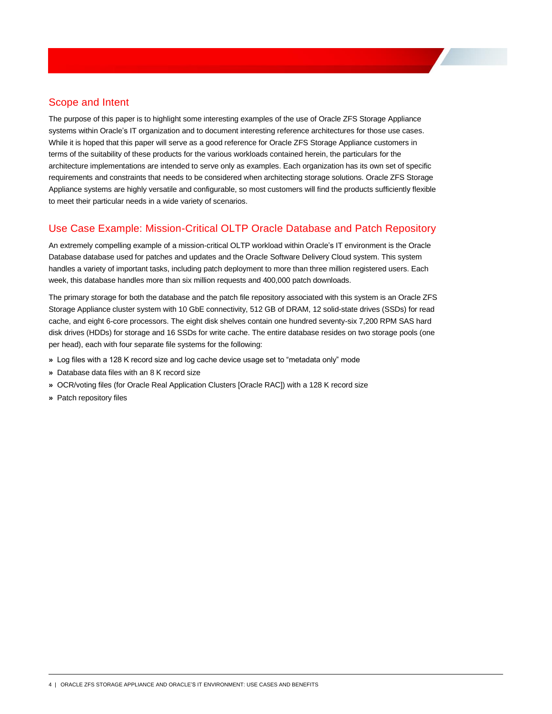## Scope and Intent

The purpose of this paper is to highlight some interesting examples of the use of Oracle ZFS Storage Appliance systems within Oracle's IT organization and to document interesting reference architectures for those use cases. While it is hoped that this paper will serve as a good reference for Oracle ZFS Storage Appliance customers in terms of the suitability of these products for the various workloads contained herein, the particulars for the architecture implementations are intended to serve only as examples. Each organization has its own set of specific requirements and constraints that needs to be considered when architecting storage solutions. Oracle ZFS Storage Appliance systems are highly versatile and configurable, so most customers will find the products sufficiently flexible to meet their particular needs in a wide variety of scenarios.

## <span id="page-5-0"></span>Use Case Example: Mission-Critical OLTP Oracle Database and Patch Repository

An extremely compelling example of a mission-critical OLTP workload within Oracle's IT environment is the Oracle Database database used for patches and updates and the Oracle Software Delivery Cloud system. This system handles a variety of important tasks, including patch deployment to more than three million registered users. Each week, this database handles more than six million requests and 400,000 patch downloads.

The primary storage for both the database and the patch file repository associated with this system is an Oracle ZFS Storage Appliance cluster system with 10 GbE connectivity, 512 GB of DRAM, 12 solid-state drives (SSDs) for read cache, and eight 6-core processors. The eight disk shelves contain one hundred seventy-six 7,200 RPM SAS hard disk drives (HDDs) for storage and 16 SSDs for write cache. The entire database resides on two storage pools (one per head), each with four separate file systems for the following:

- **»** Log files with a 128 K record size and log cache device usage set to "metadata only" mode
- **»** Database data files with an 8 K record size
- **»** OCR/voting files (for Oracle Real Application Clusters [Oracle RAC]) with a 128 K record size
- **»** Patch repository files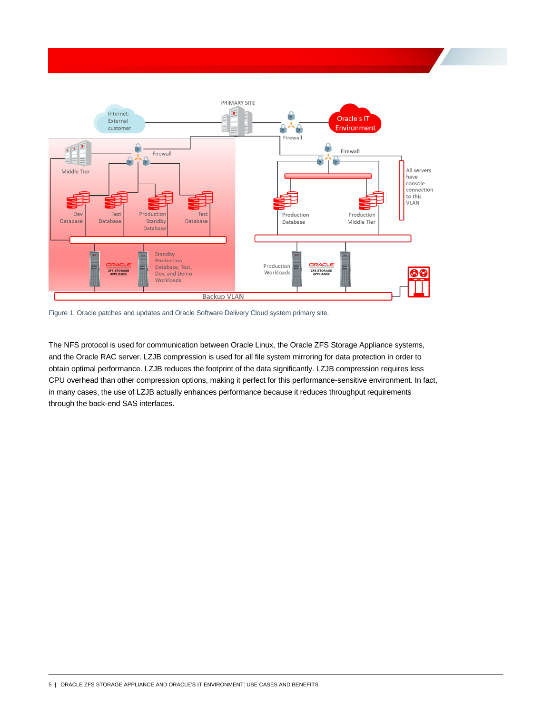

Figure 1. Oracle patches and updates and Oracle Software Delivery Cloud system primary site.

The NFS protocol is used for communication between Oracle Linux, the Oracle ZFS Storage Appliance systems, and the Oracle RAC server. LZJB compression is used for all file system mirroring for data protection in order to obtain optimal performance. LZJB reduces the footprint of the data significantly. LZJB compression requires less CPU overhead than other compression options, making it perfect for this performance-sensitive environment. In fact, in many cases, the use of LZJB actually enhances performance because it reduces throughput requirements through the back-end SAS interfaces.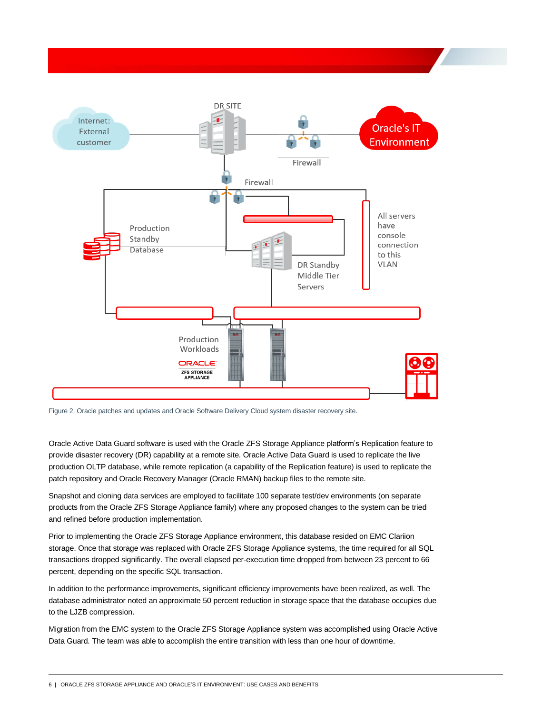

Figure 2. Oracle patches and updates and Oracle Software Delivery Cloud system disaster recovery site.

Oracle Active Data Guard software is used with the Oracle ZFS Storage Appliance platform's Replication feature to provide disaster recovery (DR) capability at a remote site. Oracle Active Data Guard is used to replicate the live production OLTP database, while remote replication (a capability of the Replication feature) is used to replicate the patch repository and Oracle Recovery Manager (Oracle RMAN) backup files to the remote site.

Snapshot and cloning data services are employed to facilitate 100 separate test/dev environments (on separate products from the Oracle ZFS Storage Appliance family) where any proposed changes to the system can be tried and refined before production implementation.

Prior to implementing the Oracle ZFS Storage Appliance environment, this database resided on EMC Clariion storage. Once that storage was replaced with Oracle ZFS Storage Appliance systems, the time required for all SQL transactions dropped significantly. The overall elapsed per-execution time dropped from between 23 percent to 66 percent, depending on the specific SQL transaction.

In addition to the performance improvements, significant efficiency improvements have been realized, as well. The database administrator noted an approximate 50 percent reduction in storage space that the database occupies due to the LJZB compression.

Migration from the EMC system to the Oracle ZFS Storage Appliance system was accomplished using Oracle Active Data Guard. The team was able to accomplish the entire transition with less than one hour of downtime.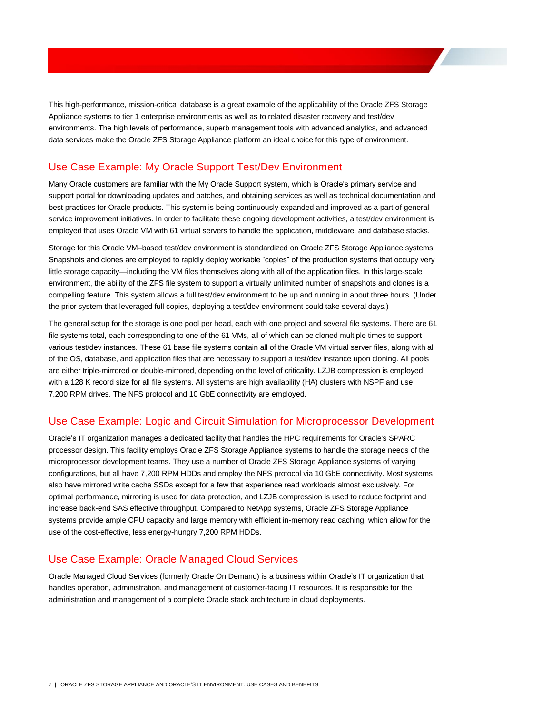This high-performance, mission-critical database is a great example of the applicability of the Oracle ZFS Storage Appliance systems to tier 1 enterprise environments as well as to related disaster recovery and test/dev environments. The high levels of performance, superb management tools with advanced analytics, and advanced data services make the Oracle ZFS Storage Appliance platform an ideal choice for this type of environment.

#### <span id="page-8-0"></span>Use Case Example: My Oracle Support Test/Dev Environment

Many Oracle customers are familiar with the My Oracle Support system, which is Oracle's primary service and support portal for downloading updates and patches, and obtaining services as well as technical documentation and best practices for Oracle products. This system is being continuously expanded and improved as a part of general service improvement initiatives. In order to facilitate these ongoing development activities, a test/dev environment is employed that uses Oracle VM with 61 virtual servers to handle the application, middleware, and database stacks.

Storage for this Oracle VM–based test/dev environment is standardized on Oracle ZFS Storage Appliance systems. Snapshots and clones are employed to rapidly deploy workable "copies" of the production systems that occupy very little storage capacity—including the VM files themselves along with all of the application files. In this large-scale environment, the ability of the ZFS file system to support a virtually unlimited number of snapshots and clones is a compelling feature. This system allows a full test/dev environment to be up and running in about three hours. (Under the prior system that leveraged full copies, deploying a test/dev environment could take several days.)

The general setup for the storage is one pool per head, each with one project and several file systems. There are 61 file systems total, each corresponding to one of the 61 VMs, all of which can be cloned multiple times to support various test/dev instances. These 61 base file systems contain all of the Oracle VM virtual server files, along with all of the OS, database, and application files that are necessary to support a test/dev instance upon cloning. All pools are either triple-mirrored or double-mirrored, depending on the level of criticality. LZJB compression is employed with a 128 K record size for all file systems. All systems are high availability (HA) clusters with NSPF and use 7,200 RPM drives. The NFS protocol and 10 GbE connectivity are employed.

#### <span id="page-8-1"></span>Use Case Example: Logic and Circuit Simulation for Microprocessor Development

Oracle's IT organization manages a dedicated facility that handles the HPC requirements for Oracle's SPARC processor design. This facility employs Oracle ZFS Storage Appliance systems to handle the storage needs of the microprocessor development teams. They use a number of Oracle ZFS Storage Appliance systems of varying configurations, but all have 7,200 RPM HDDs and employ the NFS protocol via 10 GbE connectivity. Most systems also have mirrored write cache SSDs except for a few that experience read workloads almost exclusively. For optimal performance, mirroring is used for data protection, and LZJB compression is used to reduce footprint and increase back-end SAS effective throughput. Compared to NetApp systems, Oracle ZFS Storage Appliance systems provide ample CPU capacity and large memory with efficient in-memory read caching, which allow for the use of the cost-effective, less energy-hungry 7,200 RPM HDDs.

#### <span id="page-8-2"></span>Use Case Example: Oracle Managed Cloud Services

Oracle Managed Cloud Services (formerly Oracle On Demand) is a business within Oracle's IT organization that handles operation, administration, and management of customer-facing IT resources. It is responsible for the administration and management of a complete Oracle stack architecture in cloud deployments.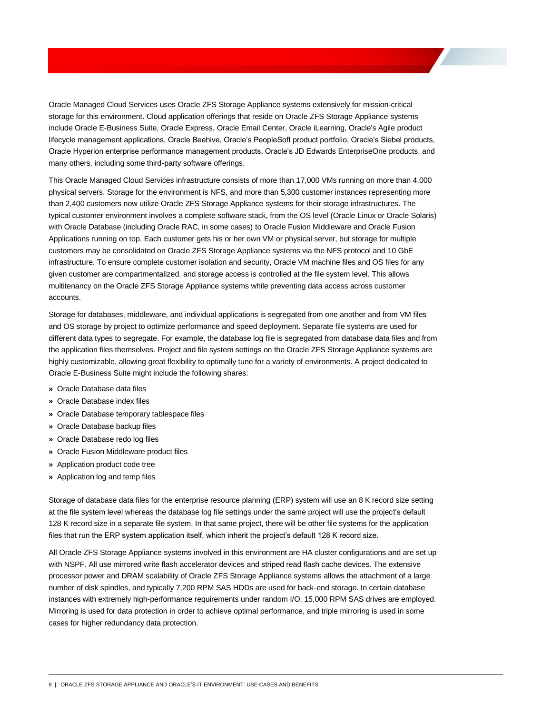Oracle Managed Cloud Services uses Oracle ZFS Storage Appliance systems extensively for mission-critical storage for this environment. Cloud application offerings that reside on Oracle ZFS Storage Appliance systems include Oracle E-Business Suite, Oracle Express, Oracle Email Center, Oracle iLearning, Oracle's Agile product lifecycle management applications, Oracle Beehive, Oracle's PeopleSoft product portfolio, Oracle's Siebel products, Oracle Hyperion enterprise performance management products, Oracle's JD Edwards EnterpriseOne products, and many others, including some third-party software offerings.

This Oracle Managed Cloud Services infrastructure consists of more than 17,000 VMs running on more than 4,000 physical servers. Storage for the environment is NFS, and more than 5,300 customer instances representing more than 2,400 customers now utilize Oracle ZFS Storage Appliance systems for their storage infrastructures. The typical customer environment involves a complete software stack, from the OS level (Oracle Linux or Oracle Solaris) with Oracle Database (including Oracle RAC, in some cases) to Oracle Fusion Middleware and Oracle Fusion Applications running on top. Each customer gets his or her own VM or physical server, but storage for multiple customers may be consolidated on Oracle ZFS Storage Appliance systems via the NFS protocol and 10 GbE infrastructure. To ensure complete customer isolation and security, Oracle VM machine files and OS files for any given customer are compartmentalized, and storage access is controlled at the file system level. This allows multitenancy on the Oracle ZFS Storage Appliance systems while preventing data access across customer accounts.

Storage for databases, middleware, and individual applications is segregated from one another and from VM files and OS storage by project to optimize performance and speed deployment. Separate file systems are used for different data types to segregate. For example, the database log file is segregated from database data files and from the application files themselves. Project and file system settings on the Oracle ZFS Storage Appliance systems are highly customizable, allowing great flexibility to optimally tune for a variety of environments. A project dedicated to Oracle E-Business Suite might include the following shares:

- **»** Oracle Database data files
- **»** Oracle Database index files
- **»** Oracle Database temporary tablespace files
- **»** Oracle Database backup files
- **»** Oracle Database redo log files
- **»** Oracle Fusion Middleware product files
- **»** Application product code tree
- **»** Application log and temp files

Storage of database data files for the enterprise resource planning (ERP) system will use an 8 K record size setting at the file system level whereas the database log file settings under the same project will use the project's default 128 K record size in a separate file system. In that same project, there will be other file systems for the application files that run the ERP system application itself, which inherit the project's default 128 K record size.

All Oracle ZFS Storage Appliance systems involved in this environment are HA cluster configurations and are set up with NSPF. All use mirrored write flash accelerator devices and striped read flash cache devices. The extensive processor power and DRAM scalability of Oracle ZFS Storage Appliance systems allows the attachment of a large number of disk spindles, and typically 7,200 RPM SAS HDDs are used for back-end storage. In certain database instances with extremely high-performance requirements under random I/O, 15,000 RPM SAS drives are employed. Mirroring is used for data protection in order to achieve optimal performance, and triple mirroring is used in some cases for higher redundancy data protection.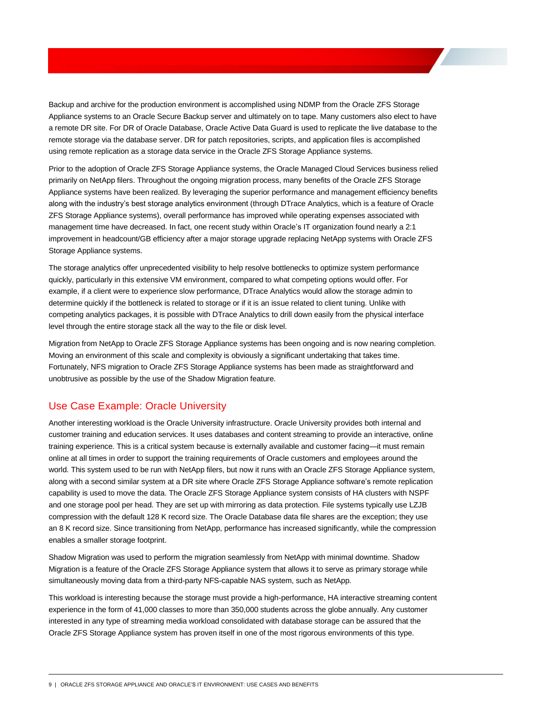Backup and archive for the production environment is accomplished using NDMP from the Oracle ZFS Storage Appliance systems to an Oracle Secure Backup server and ultimately on to tape. Many customers also elect to have a remote DR site. For DR of Oracle Database, Oracle Active Data Guard is used to replicate the live database to the remote storage via the database server. DR for patch repositories, scripts, and application files is accomplished using remote replication as a storage data service in the Oracle ZFS Storage Appliance systems.

Prior to the adoption of Oracle ZFS Storage Appliance systems, the Oracle Managed Cloud Services business relied primarily on NetApp filers. Throughout the ongoing migration process, many benefits of the Oracle ZFS Storage Appliance systems have been realized. By leveraging the superior performance and management efficiency benefits along with the industry's best storage analytics environment (through DTrace Analytics, which is a feature of Oracle ZFS Storage Appliance systems), overall performance has improved while operating expenses associated with management time have decreased. In fact, one recent study within Oracle's IT organization found nearly a 2:1 improvement in headcount/GB efficiency after a major storage upgrade replacing NetApp systems with Oracle ZFS Storage Appliance systems.

The storage analytics offer unprecedented visibility to help resolve bottlenecks to optimize system performance quickly, particularly in this extensive VM environment, compared to what competing options would offer. For example, if a client were to experience slow performance, DTrace Analytics would allow the storage admin to determine quickly if the bottleneck is related to storage or if it is an issue related to client tuning. Unlike with competing analytics packages, it is possible with DTrace Analytics to drill down easily from the physical interface level through the entire storage stack all the way to the file or disk level.

Migration from NetApp to Oracle ZFS Storage Appliance systems has been ongoing and is now nearing completion. Moving an environment of this scale and complexity is obviously a significant undertaking that takes time. Fortunately, NFS migration to Oracle ZFS Storage Appliance systems has been made as straightforward and unobtrusive as possible by the use of the Shadow Migration feature.

#### <span id="page-10-0"></span>Use Case Example: Oracle University

Another interesting workload is the Oracle University infrastructure. Oracle University provides both internal and customer training and education services. It uses databases and content streaming to provide an interactive, online training experience. This is a critical system because is externally available and customer facing—it must remain online at all times in order to support the training requirements of Oracle customers and employees around the world. This system used to be run with NetApp filers, but now it runs with an Oracle ZFS Storage Appliance system, along with a second similar system at a DR site where Oracle ZFS Storage Appliance software's remote replication capability is used to move the data. The Oracle ZFS Storage Appliance system consists of HA clusters with NSPF and one storage pool per head. They are set up with mirroring as data protection. File systems typically use LZJB compression with the default 128 K record size. The Oracle Database data file shares are the exception; they use an 8 K record size. Since transitioning from NetApp, performance has increased significantly, while the compression enables a smaller storage footprint.

Shadow Migration was used to perform the migration seamlessly from NetApp with minimal downtime. Shadow Migration is a feature of the Oracle ZFS Storage Appliance system that allows it to serve as primary storage while simultaneously moving data from a third-party NFS-capable NAS system, such as NetApp.

This workload is interesting because the storage must provide a high-performance, HA interactive streaming content experience in the form of 41,000 classes to more than 350,000 students across the globe annually. Any customer interested in any type of streaming media workload consolidated with database storage can be assured that the Oracle ZFS Storage Appliance system has proven itself in one of the most rigorous environments of this type.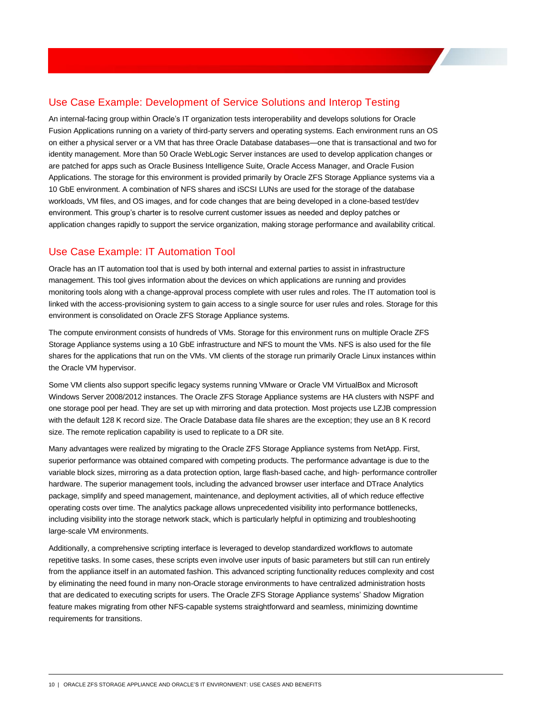#### <span id="page-11-0"></span>Use Case Example: Development of Service Solutions and Interop Testing

An internal-facing group within Oracle's IT organization tests interoperability and develops solutions for Oracle Fusion Applications running on a variety of third-party servers and operating systems. Each environment runs an OS on either a physical server or a VM that has three Oracle Database databases—one that is transactional and two for identity management. More than 50 Oracle WebLogic Server instances are used to develop application changes or are patched for apps such as Oracle Business Intelligence Suite, Oracle Access Manager, and Oracle Fusion Applications. The storage for this environment is provided primarily by Oracle ZFS Storage Appliance systems via a 10 GbE environment. A combination of NFS shares and iSCSI LUNs are used for the storage of the database workloads, VM files, and OS images, and for code changes that are being developed in a clone-based test/dev environment. This group's charter is to resolve current customer issues as needed and deploy patches or application changes rapidly to support the service organization, making storage performance and availability critical.

#### <span id="page-11-1"></span>Use Case Example: IT Automation Tool

Oracle has an IT automation tool that is used by both internal and external parties to assist in infrastructure management. This tool gives information about the devices on which applications are running and provides monitoring tools along with a change-approval process complete with user rules and roles. The IT automation tool is linked with the access-provisioning system to gain access to a single source for user rules and roles. Storage for this environment is consolidated on Oracle ZFS Storage Appliance systems.

The compute environment consists of hundreds of VMs. Storage for this environment runs on multiple Oracle ZFS Storage Appliance systems using a 10 GbE infrastructure and NFS to mount the VMs. NFS is also used for the file shares for the applications that run on the VMs. VM clients of the storage run primarily Oracle Linux instances within the Oracle VM hypervisor.

Some VM clients also support specific legacy systems running VMware or Oracle VM VirtualBox and Microsoft Windows Server 2008/2012 instances. The Oracle ZFS Storage Appliance systems are HA clusters with NSPF and one storage pool per head. They are set up with mirroring and data protection. Most projects use LZJB compression with the default 128 K record size. The Oracle Database data file shares are the exception; they use an 8 K record size. The remote replication capability is used to replicate to a DR site.

Many advantages were realized by migrating to the Oracle ZFS Storage Appliance systems from NetApp. First, superior performance was obtained compared with competing products. The performance advantage is due to the variable block sizes, mirroring as a data protection option, large flash-based cache, and high- performance controller hardware. The superior management tools, including the advanced browser user interface and DTrace Analytics package, simplify and speed management, maintenance, and deployment activities, all of which reduce effective operating costs over time. The analytics package allows unprecedented visibility into performance bottlenecks, including visibility into the storage network stack, which is particularly helpful in optimizing and troubleshooting large-scale VM environments.

Additionally, a comprehensive scripting interface is leveraged to develop standardized workflows to automate repetitive tasks. In some cases, these scripts even involve user inputs of basic parameters but still can run entirely from the appliance itself in an automated fashion. This advanced scripting functionality reduces complexity and cost by eliminating the need found in many non-Oracle storage environments to have centralized administration hosts that are dedicated to executing scripts for users. The Oracle ZFS Storage Appliance systems' Shadow Migration feature makes migrating from other NFS-capable systems straightforward and seamless, minimizing downtime requirements for transitions.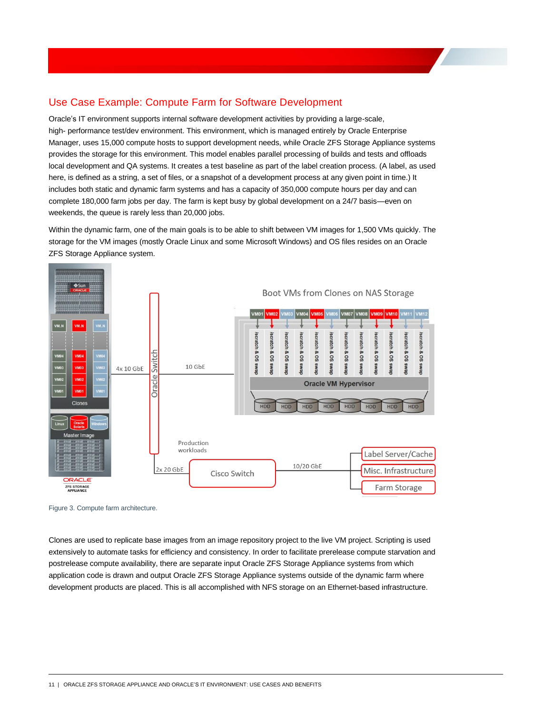## <span id="page-12-0"></span>Use Case Example: Compute Farm for Software Development

Oracle's IT environment supports internal software development activities by providing a large-scale, high- performance test/dev environment. This environment, which is managed entirely by Oracle Enterprise Manager, uses 15,000 compute hosts to support development needs, while Oracle ZFS Storage Appliance systems provides the storage for this environment. This model enables parallel processing of builds and tests and offloads local development and QA systems. It creates a test baseline as part of the label creation process. (A label, as used here, is defined as a string, a set of files, or a snapshot of a development process at any given point in time.) It includes both static and dynamic farm systems and has a capacity of 350,000 compute hours per day and can complete 180,000 farm jobs per day. The farm is kept busy by global development on a 24/7 basis—even on weekends, the queue is rarely less than 20,000 jobs.

Within the dynamic farm, one of the main goals is to be able to shift between VM images for 1,500 VMs quickly. The storage for the VM images (mostly Oracle Linux and some Microsoft Windows) and OS files resides on an Oracle ZFS Storage Appliance system.



Figure 3. Compute farm architecture.

Clones are used to replicate base images from an image repository project to the live VM project. Scripting is used extensively to automate tasks for efficiency and consistency. In order to facilitate prerelease compute starvation and postrelease compute availability, there are separate input Oracle ZFS Storage Appliance systems from which application code is drawn and output Oracle ZFS Storage Appliance systems outside of the dynamic farm where development products are placed. This is all accomplished with NFS storage on an Ethernet-based infrastructure.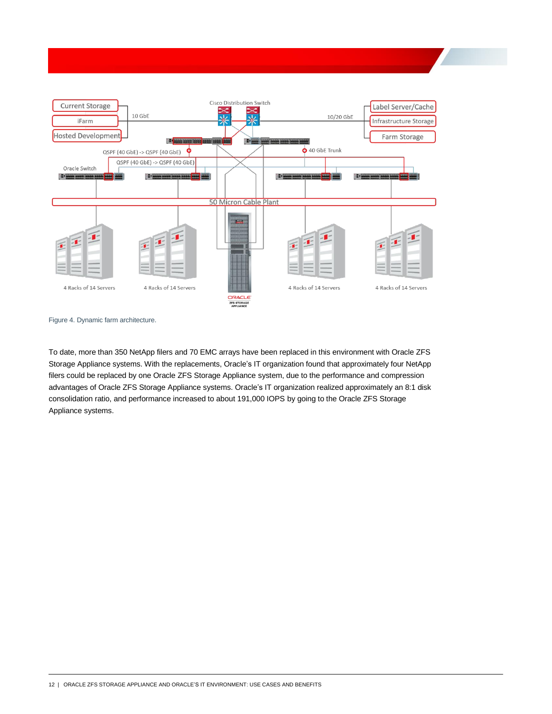

Figure 4. Dynamic farm architecture.

To date, more than 350 NetApp filers and 70 EMC arrays have been replaced in this environment with Oracle ZFS Storage Appliance systems. With the replacements, Oracle's IT organization found that approximately four NetApp filers could be replaced by one Oracle ZFS Storage Appliance system, due to the performance and compression advantages of Oracle ZFS Storage Appliance systems. Oracle's IT organization realized approximately an 8:1 disk consolidation ratio, and performance increased to about 191,000 IOPS by going to the Oracle ZFS Storage Appliance systems.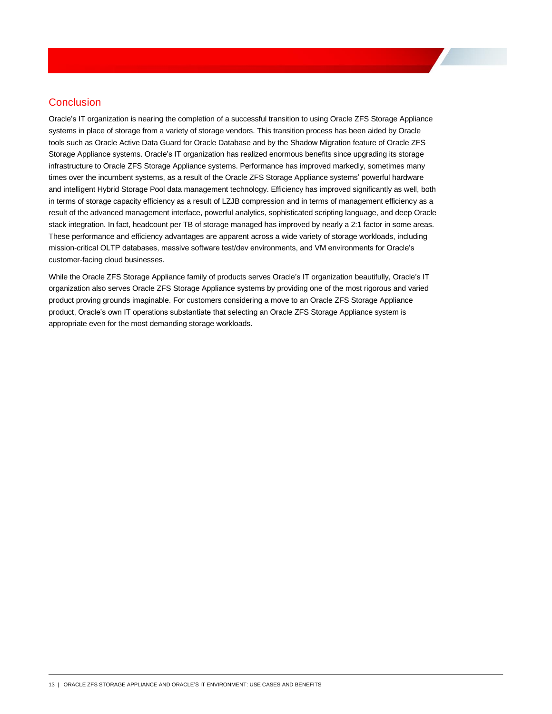#### <span id="page-14-0"></span>**Conclusion**

Oracle's IT organization is nearing the completion of a successful transition to using Oracle ZFS Storage Appliance systems in place of storage from a variety of storage vendors. This transition process has been aided by Oracle tools such as Oracle Active Data Guard for Oracle Database and by the Shadow Migration feature of Oracle ZFS Storage Appliance systems. Oracle's IT organization has realized enormous benefits since upgrading its storage infrastructure to Oracle ZFS Storage Appliance systems. Performance has improved markedly, sometimes many times over the incumbent systems, as a result of the Oracle ZFS Storage Appliance systems' powerful hardware and intelligent Hybrid Storage Pool data management technology. Efficiency has improved significantly as well, both in terms of storage capacity efficiency as a result of LZJB compression and in terms of management efficiency as a result of the advanced management interface, powerful analytics, sophisticated scripting language, and deep Oracle stack integration. In fact, headcount per TB of storage managed has improved by nearly a 2:1 factor in some areas. These performance and efficiency advantages are apparent across a wide variety of storage workloads, including mission-critical OLTP databases, massive software test/dev environments, and VM environments for Oracle's customer-facing cloud businesses.

While the Oracle ZFS Storage Appliance family of products serves Oracle's IT organization beautifully, Oracle's IT organization also serves Oracle ZFS Storage Appliance systems by providing one of the most rigorous and varied product proving grounds imaginable. For customers considering a move to an Oracle ZFS Storage Appliance product, Oracle's own IT operations substantiate that selecting an Oracle ZFS Storage Appliance system is appropriate even for the most demanding storage workloads.